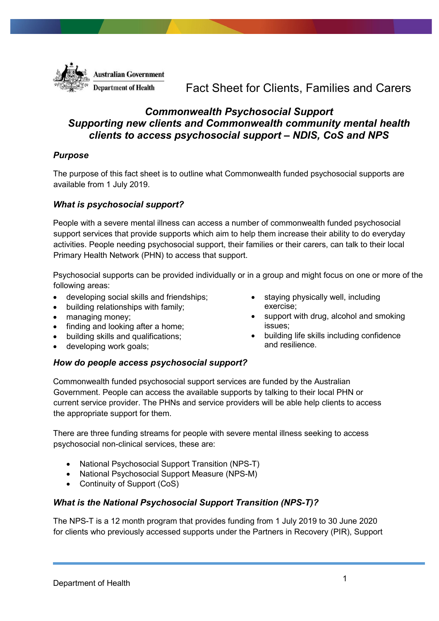

# Fact Sheet for Clients, Families and Carers

## *Commonwealth Psychosocial Support Supporting new clients and Commonwealth community mental health clients to access psychosocial support – NDIS, CoS and NPS*

## *Purpose*

The purpose of this fact sheet is to outline what Commonwealth funded psychosocial supports are available from 1 July 2019.

## *What is psychosocial support?*

People with a severe mental illness can access a number of commonwealth funded psychosocial support services that provide supports which aim to help them increase their ability to do everyday activities. People needing psychosocial support, their families or their carers, can talk to their local Primary Health Network (PHN) to access that support.

Psychosocial supports can be provided individually or in a group and might focus on one or more of the following areas:

- developing social skills and friendships;
- building relationships with family;
- managing money;
- finding and looking after a home;
- building skills and qualifications;
- developing work goals;

#### *How do people access psychosocial support?*

Commonwealth funded psychosocial support services are funded by the Australian Government. People can access the available supports by talking to their local PHN or current service provider. The PHNs and service providers will be able help clients to access the appropriate support for them.

There are three funding streams for people with severe mental illness seeking to access psychosocial non-clinical services, these are:

- National Psychosocial Support Transition (NPS-T)
- National Psychosocial Support Measure (NPS-M)
- Continuity of Support (CoS)

#### *What is the National Psychosocial Support Transition (NPS-T)?*

The NPS-T is a 12 month program that provides funding from 1 July 2019 to 30 June 2020 for clients who previously accessed supports under the Partners in Recovery (PIR), Support

- staying physically well, including exercise;
- support with drug, alcohol and smoking issues;
- building life skills including confidence and resilience.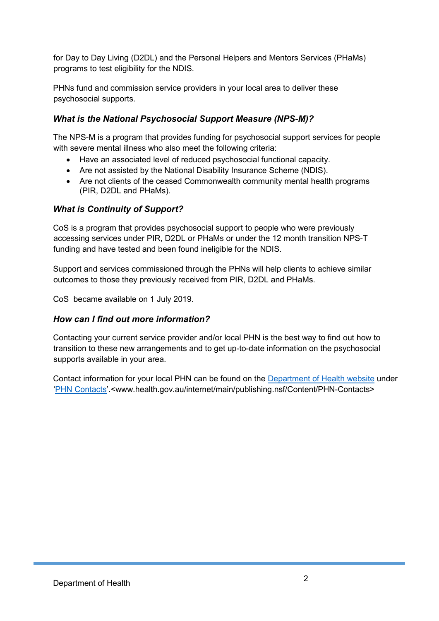for Day to Day Living (D2DL) and the Personal Helpers and Mentors Services (PHaMs) programs to test eligibility for the NDIS.

PHNs fund and commission service providers in your local area to deliver these psychosocial supports.

## *What is the National Psychosocial Support Measure (NPS-M)?*

The NPS-M is a program that provides funding for psychosocial support services for people with severe mental illness who also meet the following criteria:

- Have an associated level of reduced psychosocial functional capacity.
- Are not assisted by the National Disability Insurance Scheme (NDIS).
- Are not clients of the ceased Commonwealth community mental health programs (PIR, D2DL and PHaMs).

## *What is Continuity of Support?*

CoS is a program that provides psychosocial support to people who were previously accessing services under PIR, D2DL or PHaMs or under the 12 month transition NPS-T funding and have tested and been found ineligible for the NDIS.

Support and services commissioned through the PHNs will help clients to achieve similar outcomes to those they previously received from PIR, D2DL and PHaMs.

CoS became available on 1 July 2019.

## *How can I find out more information?*

Contacting your current service provider and/or local PHN is the best way to find out how to transition to these new arrangements and to get up-to-date information on the psychosocial supports available in your area.

Contact information for your local PHN can be found on the [Department of Health website](http://www.health.gov.au/) under ['PHN Contacts'](http://www.health.gov.au/internet/main/publishing.nsf/Content/PHN-Contacts).<www.health.gov.au/internet/main/publishing.nsf/Content/PHN-Contacts>